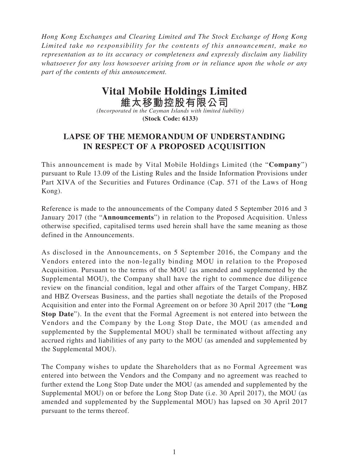*Hong Kong Exchanges and Clearing Limited and The Stock Exchange of Hong Kong Limited take no responsibility for the contents of this announcement, make no representation as to its accuracy or completeness and expressly disclaim any liability whatsoever for any loss howsoever arising from or in reliance upon the whole or any part of the contents of this announcement.*

## **Vital Mobile Holdings Limited**

**維太移動控股有限公司** *(Incorporated in the Cayman Islands with limited liability)* **(Stock Code: 6133)**

## **LAPSE OF THE MEMORANDUM OF UNDERSTANDING IN RESPECT OF A PROPOSED ACQUISITION**

This announcement is made by Vital Mobile Holdings Limited (the "**Company**") pursuant to Rule 13.09 of the Listing Rules and the Inside Information Provisions under Part XIVA of the Securities and Futures Ordinance (Cap. 571 of the Laws of Hong Kong).

Reference is made to the announcements of the Company dated 5 September 2016 and 3 January 2017 (the "**Announcements**") in relation to the Proposed Acquisition. Unless otherwise specified, capitalised terms used herein shall have the same meaning as those defined in the Announcements.

As disclosed in the Announcements, on 5 September 2016, the Company and the Vendors entered into the non-legally binding MOU in relation to the Proposed Acquisition. Pursuant to the terms of the MOU (as amended and supplemented by the Supplemental MOU), the Company shall have the right to commence due diligence review on the financial condition, legal and other affairs of the Target Company, HBZ and HBZ Overseas Business, and the parties shall negotiate the details of the Proposed Acquisition and enter into the Formal Agreement on or before 30 April 2017 (the "**Long Stop Date**"). In the event that the Formal Agreement is not entered into between the Vendors and the Company by the Long Stop Date, the MOU (as amended and supplemented by the Supplemental MOU) shall be terminated without affecting any accrued rights and liabilities of any party to the MOU (as amended and supplemented by the Supplemental MOU).

The Company wishes to update the Shareholders that as no Formal Agreement was entered into between the Vendors and the Company and no agreement was reached to further extend the Long Stop Date under the MOU (as amended and supplemented by the Supplemental MOU) on or before the Long Stop Date (i.e. 30 April 2017), the MOU (as amended and supplemented by the Supplemental MOU) has lapsed on 30 April 2017 pursuant to the terms thereof.